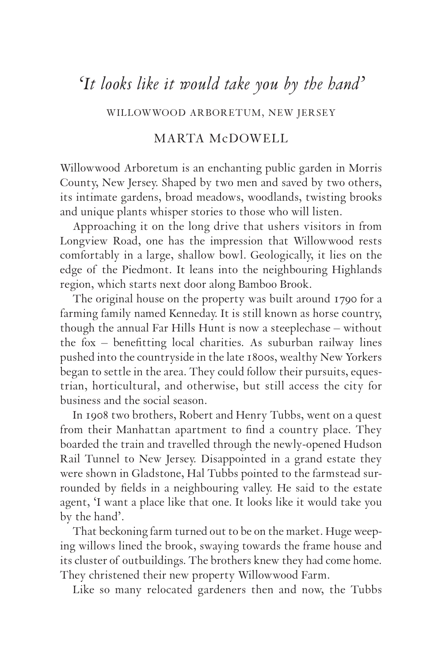## *'It looks like it would take you by the hand'*

WILLOWWOOD ARBORETUM, NEW JERSEY

## MARTA McDOWELL

Willowwood Arboretum is an enchanting public garden in Morris County, New Jersey. Shaped by two men and saved by two others, its intimate gardens, broad meadows, woodlands, twisting brooks and unique plants whisper stories to those who will listen.

Approaching it on the long drive that ushers visitors in from Longview Road, one has the impression that Willowwood rests comfortably in a large, shallow bowl. Geologically, it lies on the edge of the Piedmont. It leans into the neighbouring Highlands region, which starts next door along Bamboo Brook.

The original house on the property was built around 1790 for a farming family named Kenneday. It is still known as horse country, though the annual Far Hills Hunt is now a steeplechase – without the fox – benefitting local charities. As suburban railway lines pushed into the countryside in the late 1800s, wealthy New Yorkers began to settle in the area. They could follow their pursuits, equestrian, horticultural, and otherwise, but still access the city for business and the social season.

In 1908 two brothers, Robert and Henry Tubbs, went on a quest from their Manhattan apartment to find a country place. They boarded the train and travelled through the newly-opened Hudson Rail Tunnel to New Jersey. Disappointed in a grand estate they were shown in Gladstone, Hal Tubbs pointed to the farmstead surrounded by fields in a neighbouring valley. He said to the estate agent, 'I want a place like that one. It looks like it would take you by the hand'.

That beckoning farm turned out to be on the market. Huge weeping willows lined the brook, swaying towards the frame house and its cluster of outbuildings. The brothers knew they had come home. They christened their new property Willowwood Farm.

Like so many relocated gardeners then and now, the Tubbs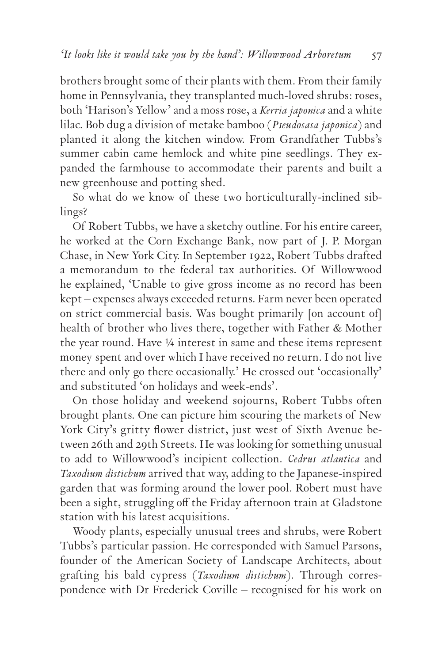brothers brought some of their plants with them. From their family home in Pennsylvania, they transplanted much-loved shrubs: roses, both 'Harison's Yellow' and a moss rose*,* a *Kerria japonica* and a white lilac. Bob dug a division of metake bamboo (*Pseudosasa japonica*) and planted it along the kitchen window. From Grandfather Tubbs's summer cabin came hemlock and white pine seedlings*.* They expanded the farmhouse to accommodate their parents and built a new greenhouse and potting shed.

So what do we know of these two horticulturally-inclined siblings?

Of Robert Tubbs, we have a sketchy outline. For his entire career, he worked at the Corn Exchange Bank, now part of J. P. Morgan Chase, in New York City. In September 1922, Robert Tubbs drafted a memorandum to the federal tax authorities. Of Willowwood he explained, 'Unable to give gross income as no record has been kept – expenses always exceeded returns. Farm never been operated on strict commercial basis. Was bought primarily [on account of] health of brother who lives there, together with Father & Mother the year round. Have ¼ interest in same and these items represent money spent and over which I have received no return. I do not live there and only go there occasionally.' He crossed out 'occasionally' and substituted 'on holidays and week-ends'.

On those holiday and weekend sojourns, Robert Tubbs often brought plants. One can picture him scouring the markets of New York City's gritty flower district, just west of Sixth Avenue between 26th and 29th Streets. He was looking for something unusual to add to Willowwood's incipient collection. *Cedrus atlantica* and *Taxodium distichum* arrived that way, adding to the Japanese-inspired garden that was forming around the lower pool. Robert must have been a sight, struggling off the Friday afternoon train at Gladstone station with his latest acquisitions.

Woody plants, especially unusual trees and shrubs, were Robert Tubbs's particular passion. He corresponded with Samuel Parsons, founder of the American Society of Landscape Architects, about grafting his bald cypress (*Taxodium distichum*). Through correspondence with Dr Frederick Coville – recognised for his work on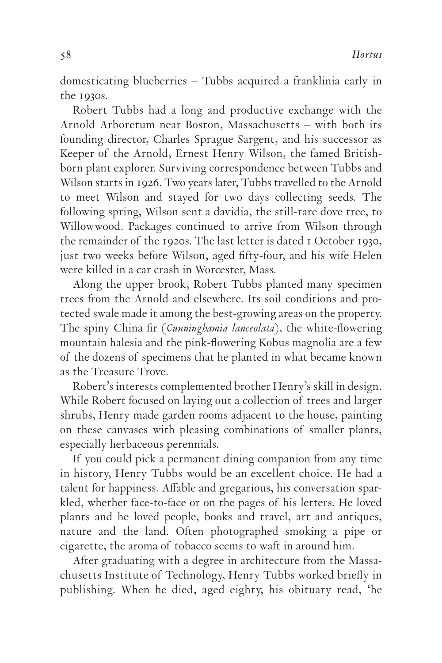domesticating blueberries – Tubbs acquired a franklinia early in the 1930s.

Robert Tubbs had a long and productive exchange with the Arnold Arboretum near Boston, Massachusetts – with both its founding director, Charles Sprague Sargent, and his successor as Keeper of the Arnold, Ernest Henry Wilson, the famed Britishborn plant explorer. Surviving correspondence between Tubbs and Wilson starts in 1926. Two years later, Tubbs travelled to the Arnold to meet Wilson and stayed for two days collecting seeds. The following spring, Wilson sent a davidia*,* the still-rare dove tree, to Willowwood. Packages continued to arrive from Wilson through the remainder of the 1920s. The last letter is dated I October 1930, just two weeks before Wilson, aged fifty-four, and his wife Helen were killed in a car crash in Worcester, Mass.

Along the upper brook, Robert Tubbs planted many specimen trees from the Arnold and elsewhere. Its soil conditions and protected swale made it among the best-growing areas on the property. The spiny China fir (*Cunninghamia lanceolata*), the white-flowering mountain halesia and the pink-flowering Kobus magnolia are a few of the dozens of specimens that he planted in what became known as the Treasure Trove.

Robert's interests complemented brother Henry's skill in design. While Robert focused on laying out a collection of trees and larger shrubs, Henry made garden rooms adjacent to the house, painting on these canvases with pleasing combinations of smaller plants, especially herbaceous perennials.

If you could pick a permanent dining companion from any time in history, Henry Tubbs would be an excellent choice. He had a talent for happiness. Affable and gregarious, his conversation sparkled, whether face-to-face or on the pages of his letters. He loved plants and he loved people, books and travel, art and antiques, nature and the land. Often photographed smoking a pipe or cigarette, the aroma of tobacco seems to waft in around him.

After graduating with a degree in architecture from the Massachusetts Institute of Technology, Henry Tubbs worked briefly in publishing. When he died, aged eighty, his obituary read, 'he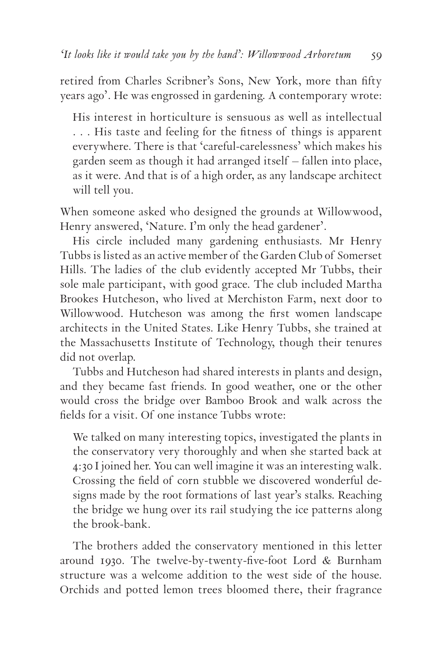retired from Charles Scribner's Sons, New York, more than fifty years ago'. He was engrossed in gardening. A contemporary wrote:

His interest in horticulture is sensuous as well as intellectual . . . His taste and feeling for the fitness of things is apparent everywhere. There is that 'careful-carelessness' which makes his garden seem as though it had arranged itself – fallen into place, as it were. And that is of a high order, as any landscape architect will tell you.

When someone asked who designed the grounds at Willowwood, Henry answered, 'Nature. I'm only the head gardener'.

His circle included many gardening enthusiasts. Mr Henry Tubbs is listed as an active member of the Garden Club of Somerset Hills. The ladies of the club evidently accepted Mr Tubbs, their sole male participant, with good grace. The club included Martha Brookes Hutcheson, who lived at Merchiston Farm, next door to Willowwood. Hutcheson was among the first women landscape architects in the United States. Like Henry Tubbs, she trained at the Massachusetts Institute of Technology, though their tenures did not overlap.

Tubbs and Hutcheson had shared interests in plants and design, and they became fast friends. In good weather, one or the other would cross the bridge over Bamboo Brook and walk across the fields for a visit. Of one instance Tubbs wrote:

We talked on many interesting topics, investigated the plants in the conservatory very thoroughly and when she started back at 4:30 I joined her. You can well imagine it was an interesting walk. Crossing the field of corn stubble we discovered wonderful designs made by the root formations of last year's stalks. Reaching the bridge we hung over its rail studying the ice patterns along the brook-bank.

The brothers added the conservatory mentioned in this letter around 1930. The twelve-by-twenty-five-foot Lord & Burnham structure was a welcome addition to the west side of the house. Orchids and potted lemon trees bloomed there, their fragrance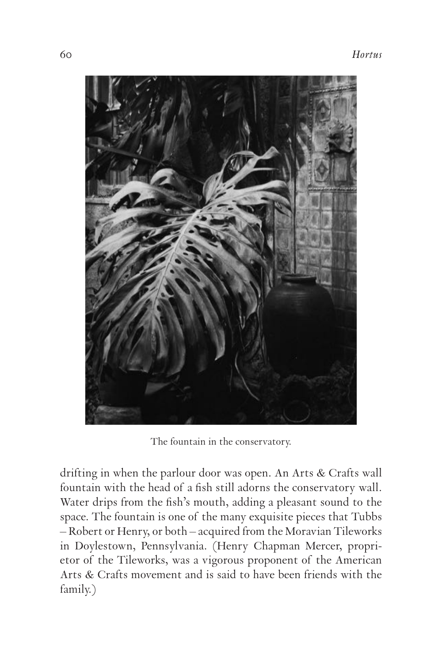

The fountain in the conservatory.

drifting in when the parlour door was open. An Arts & Crafts wall fountain with the head of a fish still adorns the conservatory wall. Water drips from the fish's mouth, adding a pleasant sound to the space. The fountain is one of the many exquisite pieces that Tubbs – Robert or Henry, or both – acquired from the Moravian Tileworks in Doylestown, Pennsylvania. (Henry Chapman Mercer, proprietor of the Tileworks, was a vigorous proponent of the American Arts & Crafts movement and is said to have been friends with the family.)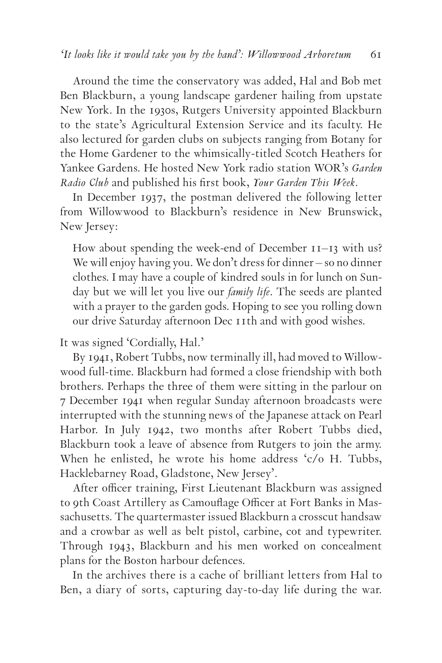Around the time the conservatory was added, Hal and Bob met Ben Blackburn, a young landscape gardener hailing from upstate New York. In the 1930s, Rutgers University appointed Blackburn to the state's Agricultural Extension Service and its faculty. He also lectured for garden clubs on subjects ranging from Botany for the Home Gardener to the whimsically-titled Scotch Heathers for Yankee Gardens. He hosted New York radio station WOR's *Garden Radio Club* and published his first book, *Your Garden This Week.*

In December 1937, the postman delivered the following letter from Willowwood to Blackburn's residence in New Brunswick, New Jersey:

How about spending the week-end of December  $II-I3$  with us? We will enjoy having you. We don't dress for dinner – so no dinner clothes. I may have a couple of kindred souls in for lunch on Sunday but we will let you live our *family life*. The seeds are planted with a prayer to the garden gods. Hoping to see you rolling down our drive Saturday afternoon Dec IIth and with good wishes.

It was signed 'Cordially, Hal.'

By 1941, Robert Tubbs, now terminally ill, had moved to Willowwood full-time. Blackburn had formed a close friendship with both brothers. Perhaps the three of them were sitting in the parlour on 7 December 1941 when regular Sunday afternoon broadcasts were interrupted with the stunning news of the Japanese attack on Pearl Harbor. In July 1942, two months after Robert Tubbs died, Blackburn took a leave of absence from Rutgers to join the army. When he enlisted, he wrote his home address 'c/o H. Tubbs, Hacklebarney Road, Gladstone, New Jersey'.

After officer training, First Lieutenant Blackburn was assigned to 9th Coast Artillery as Camouflage Officer at Fort Banks in Massachusetts. The quartermaster issued Blackburn a crosscut handsaw and a crowbar as well as belt pistol, carbine, cot and typewriter. Through 1943, Blackburn and his men worked on concealment plans for the Boston harbour defences.

In the archives there is a cache of brilliant letters from Hal to Ben, a diary of sorts, capturing day-to-day life during the war.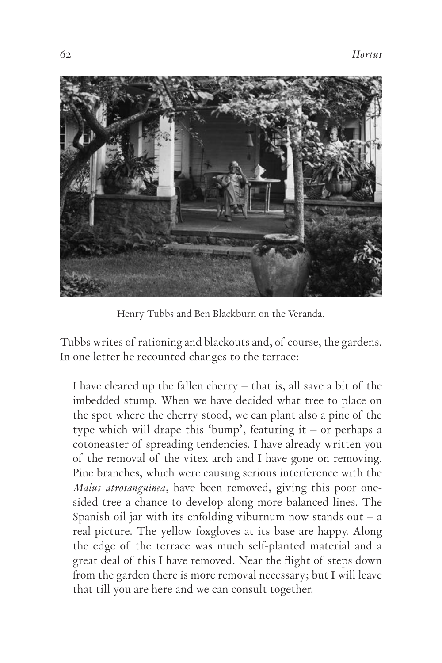

Henry Tubbs and Ben Blackburn on the Veranda.

Tubbs writes of rationing and blackouts and, of course, the gardens. In one letter he recounted changes to the terrace:

I have cleared up the fallen cherry – that is, all save a bit of the imbedded stump. When we have decided what tree to place on the spot where the cherry stood, we can plant also a pine of the type which will drape this 'bump', featuring it – or perhaps a cotoneaster of spreading tendencies. I have already written you of the removal of the vitex arch and I have gone on removing. Pine branches, which were causing serious interference with the *Malus atrosanguinea*, have been removed, giving this poor onesided tree a chance to develop along more balanced lines. The Spanish oil jar with its enfolding viburnum now stands out  $-$  a real picture. The yellow foxgloves at its base are happy. Along the edge of the terrace was much self-planted material and a great deal of this I have removed. Near the flight of steps down from the garden there is more removal necessary; but I will leave that till you are here and we can consult together.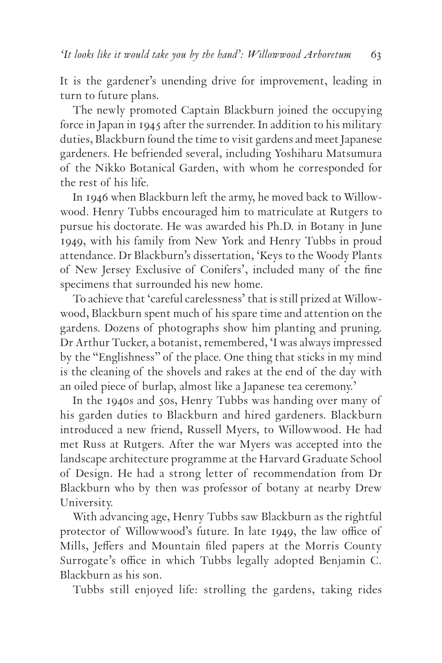It is the gardener's unending drive for improvement, leading in turn to future plans.

The newly promoted Captain Blackburn joined the occupying force in Japan in 1945 after the surrender. In addition to his military duties, Blackburn found the time to visit gardens and meet Japanese gardeners. He befriended several, including Yoshiharu Matsumura of the Nikko Botanical Garden, with whom he corresponded for the rest of his life.

In 1946 when Blackburn left the army, he moved back to Willowwood. Henry Tubbs encouraged him to matriculate at Rutgers to pursue his doctorate. He was awarded his Ph.D. in Botany in June 1949, with his family from New York and Henry Tubbs in proud attendance. Dr Blackburn's dissertation, 'Keys to the Woody Plants of New Jersey Exclusive of Conifers'*,* included many of the fine specimens that surrounded his new home.

To achieve that 'careful carelessness' that is still prized at Willowwood, Blackburn spent much of his spare time and attention on the gardens. Dozens of photographs show him planting and pruning. Dr Arthur Tucker, a botanist, remembered, 'I was always impressed by the "Englishness" of the place. One thing that sticks in my mind is the cleaning of the shovels and rakes at the end of the day with an oiled piece of burlap, almost like a Japanese tea ceremony.'

In the 1940s and 50s, Henry Tubbs was handing over many of his garden duties to Blackburn and hired gardeners. Blackburn introduced a new friend, Russell Myers, to Willowwood. He had met Russ at Rutgers. After the war Myers was accepted into the landscape architecture programme at the Harvard Graduate School of Design. He had a strong letter of recommendation from Dr Blackburn who by then was professor of botany at nearby Drew University.

With advancing age, Henry Tubbs saw Blackburn as the rightful protector of Willowwood's future. In late 1949, the law office of Mills, Jeffers and Mountain filed papers at the Morris County Surrogate's office in which Tubbs legally adopted Benjamin C. Blackburn as his son.

Tubbs still enjoyed life: strolling the gardens, taking rides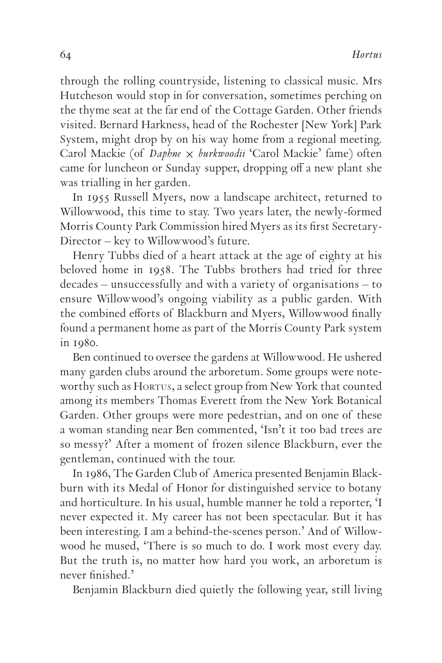through the rolling countryside, listening to classical music. Mrs Hutcheson would stop in for conversation, sometimes perching on the thyme seat at the far end of the Cottage Garden. Other friends visited. Bernard Harkness, head of the Rochester [New York] Park System, might drop by on his way home from a regional meeting. Carol Mackie (of *Daphne* × *burkwoodii* 'Carol Mackie' fame) often came for luncheon or Sunday supper, dropping off a new plant she was trialling in her garden.

In 1955 Russell Myers, now a landscape architect, returned to Willowwood, this time to stay. Two years later, the newly-formed Morris County Park Commission hired Myers as its first Secretary-Director – key to Willowwood's future.

Henry Tubbs died of a heart attack at the age of eighty at his beloved home in 1958. The Tubbs brothers had tried for three decades – unsuccessfully and with a variety of organisations – to ensure Willowwood's ongoing viability as a public garden. With the combined efforts of Blackburn and Myers, Willowwood finally found a permanent home as part of the Morris County Park system in 1980.

Ben continued to oversee the gardens at Willowwood. He ushered many garden clubs around the arboretum. Some groups were noteworthy such as HORTUS, a select group from New York that counted among its members Thomas Everett from the New York Botanical Garden. Other groups were more pedestrian, and on one of these a woman standing near Ben commented, 'Isn't it too bad trees are so messy?' After a moment of frozen silence Blackburn, ever the gentleman, continued with the tour.

In 1986, The Garden Club of America presented Benjamin Blackburn with its Medal of Honor for distinguished service to botany and horticulture. In his usual, humble manner he told a reporter, 'I never expected it. My career has not been spectacular. But it has been interesting. I am a behind-the-scenes person.' And of Willowwood he mused, 'There is so much to do. I work most every day. But the truth is, no matter how hard you work, an arboretum is never finished.'

Benjamin Blackburn died quietly the following year, still living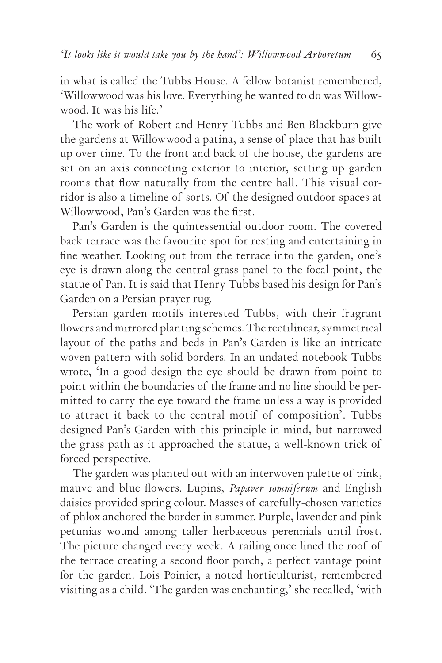in what is called the Tubbs House. A fellow botanist remembered, 'Willowwood was his love. Everything he wanted to do was Willowwood. It was his life.'

The work of Robert and Henry Tubbs and Ben Blackburn give the gardens at Willowwood a patina, a sense of place that has built up over time. To the front and back of the house, the gardens are set on an axis connecting exterior to interior, setting up garden rooms that flow naturally from the centre hall. This visual corridor is also a timeline of sorts. Of the designed outdoor spaces at Willowwood, Pan's Garden was the first.

Pan's Garden is the quintessential outdoor room. The covered back terrace was the favourite spot for resting and entertaining in fine weather. Looking out from the terrace into the garden, one's eye is drawn along the central grass panel to the focal point, the statue of Pan. It is said that Henry Tubbs based his design for Pan's Garden on a Persian prayer rug.

Persian garden motifs interested Tubbs, with their fragrant flowers and mirrored planting schemes. The rectilinear, symmetrical layout of the paths and beds in Pan's Garden is like an intricate woven pattern with solid borders. In an undated notebook Tubbs wrote, 'In a good design the eye should be drawn from point to point within the boundaries of the frame and no line should be permitted to carry the eye toward the frame unless a way is provided to attract it back to the central motif of composition'. Tubbs designed Pan's Garden with this principle in mind, but narrowed the grass path as it approached the statue, a well-known trick of forced perspective.

The garden was planted out with an interwoven palette of pink, mauve and blue flowers. Lupins, *Papaver somniferum* and English daisies provided spring colour. Masses of carefully-chosen varieties of phlox anchored the border in summer. Purple, lavender and pink petunias wound among taller herbaceous perennials until frost. The picture changed every week. A railing once lined the roof of the terrace creating a second floor porch, a perfect vantage point for the garden. Lois Poinier, a noted horticulturist, remembered visiting as a child. 'The garden was enchanting,' she recalled, 'with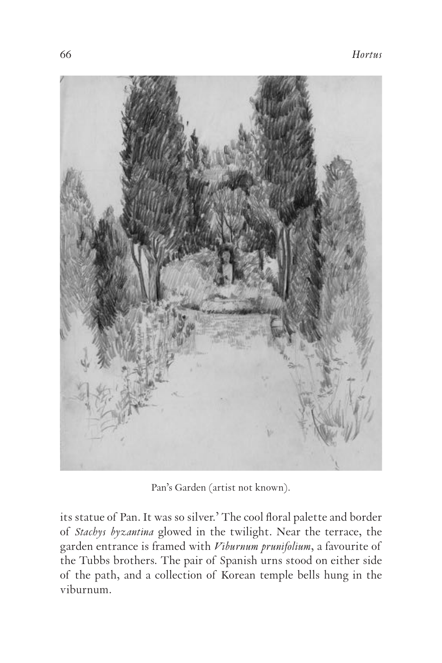

Pan's Garden (artist not known).

its statue of Pan. It was so silver.' The cool floral palette and border of *Stachys byzantina* glowed in the twilight. Near the terrace, the garden entrance is framed with *Viburnum prunifolium*, a favourite of the Tubbs brothers. The pair of Spanish urns stood on either side of the path, and a collection of Korean temple bells hung in the viburnum.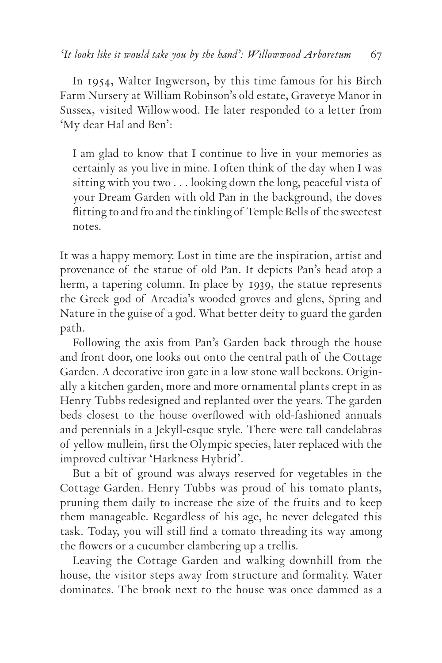In 1954, Walter Ingwerson, by this time famous for his Birch Farm Nursery at William Robinson's old estate, Gravetye Manor in Sussex, visited Willowwood. He later responded to a letter from 'My dear Hal and Ben':

I am glad to know that I continue to live in your memories as certainly as you live in mine. I often think of the day when I was sitting with you two . . . looking down the long, peaceful vista of your Dream Garden with old Pan in the background, the doves flitting to and fro and the tinkling of Temple Bells of the sweetest notes.

It was a happy memory. Lost in time are the inspiration, artist and provenance of the statue of old Pan. It depicts Pan's head atop a herm, a tapering column. In place by 1939, the statue represents the Greek god of Arcadia's wooded groves and glens, Spring and Nature in the guise of a god. What better deity to guard the garden path.

Following the axis from Pan's Garden back through the house and front door, one looks out onto the central path of the Cottage Garden. A decorative iron gate in a low stone wall beckons. Originally a kitchen garden, more and more ornamental plants crept in as Henry Tubbs redesigned and replanted over the years. The garden beds closest to the house overflowed with old-fashioned annuals and perennials in a Jekyll-esque style. There were tall candelabras of yellow mullein, first the Olympic species, later replaced with the improved cultivar 'Harkness Hybrid'.

But a bit of ground was always reserved for vegetables in the Cottage Garden. Henry Tubbs was proud of his tomato plants, pruning them daily to increase the size of the fruits and to keep them manageable. Regardless of his age, he never delegated this task. Today, you will still find a tomato threading its way among the flowers or a cucumber clambering up a trellis.

Leaving the Cottage Garden and walking downhill from the house, the visitor steps away from structure and formality. Water dominates. The brook next to the house was once dammed as a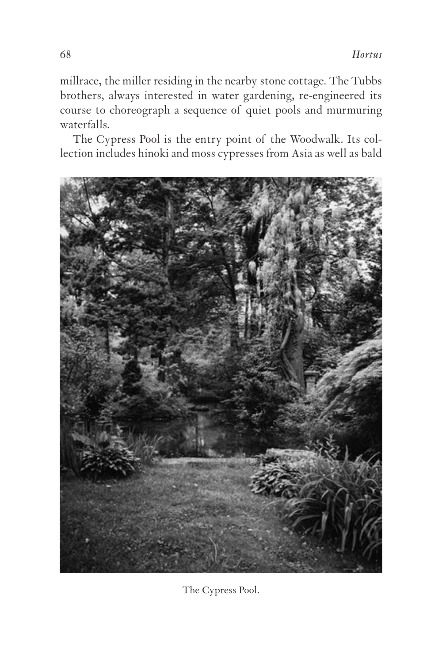millrace, the miller residing in the nearby stone cottage. The Tubbs brothers, always interested in water gardening, re-engineered its course to choreograph a sequence of quiet pools and murmuring waterfalls.

The Cypress Pool is the entry point of the Woodwalk. Its collection includes hinoki and moss cypresses from Asia as well as bald



The Cypress Pool.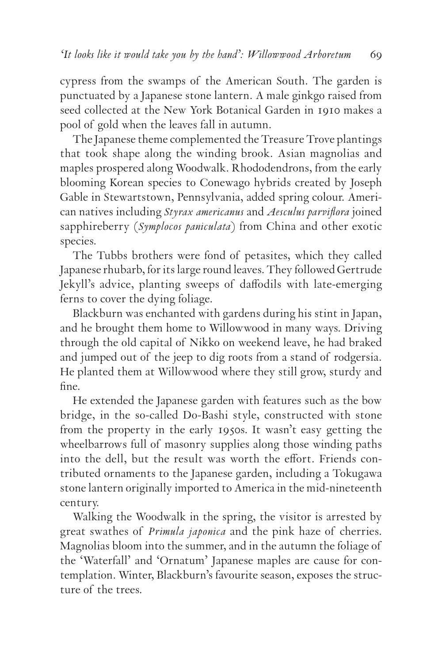cypress from the swamps of the American South. The garden is punctuated by a Japanese stone lantern. A male ginkgo raised from seed collected at the New York Botanical Garden in 1910 makes a pool of gold when the leaves fall in autumn.

The Japanese theme complemented the Treasure Trove plantings that took shape along the winding brook. Asian magnolias and maples prospered along Woodwalk. Rhododendrons, from the early blooming Korean species to Conewago hybrids created by Joseph Gable in Stewartstown, Pennsylvania, added spring colour. American natives including *Styrax americanus* and *Aesculus parviflora* joined sapphireberry (*Symplocos paniculata*) from China and other exotic species.

The Tubbs brothers were fond of petasites, which they called Japanese rhubarb, for its large round leaves. They followed Gertrude Jekyll's advice, planting sweeps of daffodils with late-emerging ferns to cover the dying foliage.

Blackburn was enchanted with gardens during his stint in Japan, and he brought them home to Willowwood in many ways. Driving through the old capital of Nikko on weekend leave, he had braked and jumped out of the jeep to dig roots from a stand of rodgersia. He planted them at Willowwood where they still grow, sturdy and fine.

He extended the Japanese garden with features such as the bow bridge, in the so-called Do-Bashi style, constructed with stone from the property in the early 1950s. It wasn't easy getting the wheelbarrows full of masonry supplies along those winding paths into the dell, but the result was worth the effort. Friends contributed ornaments to the Japanese garden, including a Tokugawa stone lantern originally imported to America in the mid-nineteenth century.

Walking the Woodwalk in the spring, the visitor is arrested by great swathes of *Primula japonica* and the pink haze of cherries. Magnolias bloom into the summer, and in the autumn the foliage of the 'Waterfall' and 'Ornatum' Japanese maples are cause for contemplation. Winter, Blackburn's favourite season, exposes the structure of the trees.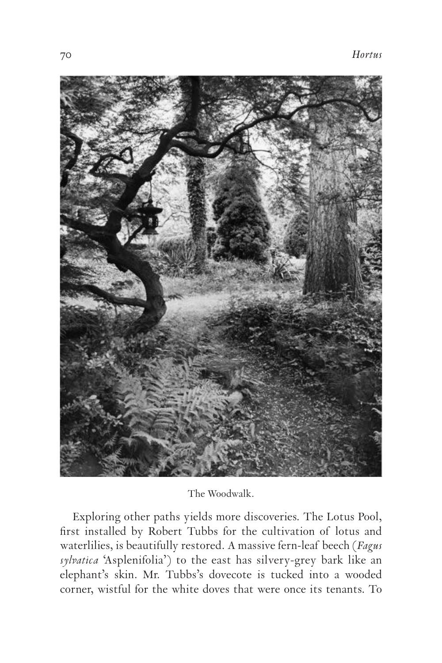

The Woodwalk.

Exploring other paths yields more discoveries. The Lotus Pool, first installed by Robert Tubbs for the cultivation of lotus and waterlilies, is beautifully restored. A massive fern-leaf beech (*Fagus sylvatica* 'Asplenifolia') to the east has silvery-grey bark like an elephant's skin. Mr. Tubbs's dovecote is tucked into a wooded corner, wistful for the white doves that were once its tenants. To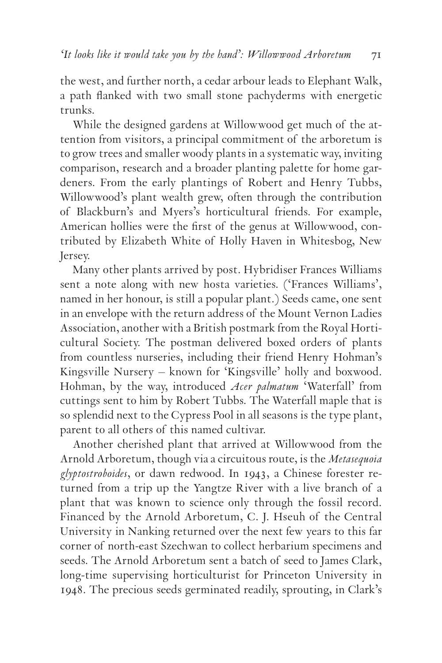the west, and further north, a cedar arbour leads to Elephant Walk, a path flanked with two small stone pachyderms with energetic trunks.

While the designed gardens at Willowwood get much of the attention from visitors, a principal commitment of the arboretum is to grow trees and smaller woody plants in a systematic way, inviting comparison, research and a broader planting palette for home gardeners. From the early plantings of Robert and Henry Tubbs, Willowwood's plant wealth grew, often through the contribution of Blackburn's and Myers's horticultural friends. For example, American hollies were the first of the genus at Willowwood, contributed by Elizabeth White of Holly Haven in Whitesbog, New Jersey.

Many other plants arrived by post. Hybridiser Frances Williams sent a note along with new hosta varieties. ('Frances Williams', named in her honour, is still a popular plant.) Seeds came, one sent in an envelope with the return address of the Mount Vernon Ladies Association, another with a British postmark from the Royal Horticultural Society. The postman delivered boxed orders of plants from countless nurseries, including their friend Henry Hohman's Kingsville Nursery – known for 'Kingsville' holly and boxwood. Hohman, by the way, introduced *Acer palmatum* 'Waterfall' from cuttings sent to him by Robert Tubbs. The Waterfall maple that is so splendid next to the Cypress Pool in all seasons is the type plant, parent to all others of this named cultivar.

Another cherished plant that arrived at Willowwood from the Arnold Arboretum, though via a circuitous route, is the *Metasequoia glyptostroboides*, or dawn redwood. In 1943, a Chinese forester returned from a trip up the Yangtze River with a live branch of a plant that was known to science only through the fossil record. Financed by the Arnold Arboretum, C. J. Hseuh of the Central University in Nanking returned over the next few years to this far corner of north-east Szechwan to collect herbarium specimens and seeds. The Arnold Arboretum sent a batch of seed to James Clark, long-time supervising horticulturist for Princeton University in . The precious seeds germinated readily, sprouting, in Clark's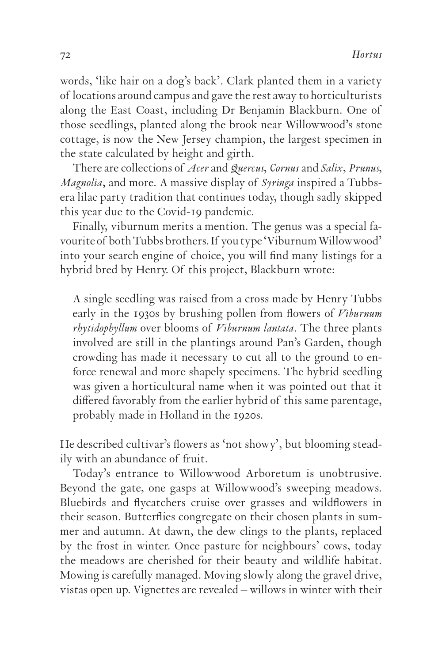words, 'like hair on a dog's back'. Clark planted them in a variety of locations around campus and gave the rest away to horticulturists along the East Coast, including Dr Benjamin Blackburn. One of those seedlings, planted along the brook near Willowwood's stone cottage, is now the New Jersey champion, the largest specimen in the state calculated by height and girth.

There are collections of *Acer* and *Quercus, Cornus* and *Salix, Prunus, Magnolia,* and more. A massive display of *Syringa* inspired a Tubbsera lilac party tradition that continues today, though sadly skipped this year due to the Covid-19 pandemic.

Finally, viburnum merits a mention. The genus was a special favourite of both Tubbs brothers. If you type 'Viburnum Willowwood' into your search engine of choice, you will find many listings for a hybrid bred by Henry. Of this project, Blackburn wrote:

A single seedling was raised from a cross made by Henry Tubbs early in the 1930s by brushing pollen from flowers of *Viburnum rhytidophyllum* over blooms of *Viburnum lantata*. The three plants involved are still in the plantings around Pan's Garden, though crowding has made it necessary to cut all to the ground to enforce renewal and more shapely specimens. The hybrid seedling was given a horticultural name when it was pointed out that it differed favorably from the earlier hybrid of this same parentage, probably made in Holland in the 1920s.

He described cultivar's flowers as 'not showy', but blooming steadily with an abundance of fruit.

Today's entrance to Willowwood Arboretum is unobtrusive. Beyond the gate, one gasps at Willowwood's sweeping meadows. Bluebirds and flycatchers cruise over grasses and wildflowers in their season. Butterflies congregate on their chosen plants in summer and autumn. At dawn, the dew clings to the plants, replaced by the frost in winter. Once pasture for neighbours' cows, today the meadows are cherished for their beauty and wildlife habitat. Mowing is carefully managed. Moving slowly along the gravel drive, vistas open up. Vignettes are revealed – willows in winter with their